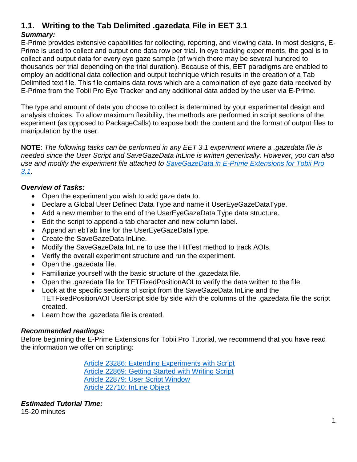#### **1.1. Writing to the Tab Delimited .gazedata File in EET 3.1** *Summary:*

E-Prime provides extensive capabilities for collecting, reporting, and viewing data. In most designs, E-Prime is used to collect and output one data row per trial. In eye tracking experiments, the goal is to collect and output data for every eye gaze sample (of which there may be several hundred to thousands per trial depending on the trial duration). Because of this, EET paradigms are enabled to employ an additional data collection and output technique which results in the creation of a Tab Delimited text file. This file contains data rows which are a combination of eye gaze data received by E-Prime from the Tobii Pro Eye Tracker and any additional data added by the user via E-Prime.

The type and amount of data you choose to collect is determined by your experimental design and analysis choices. To allow maximum flexibility, the methods are performed in script sections of the experiment (as opposed to PackageCalls) to expose both the content and the format of output files to manipulation by the user.

**NOTE**: *The following tasks can be performed in any EET 3.1 experiment where a .gazedata file is needed since the User Script and SaveGazeData InLine is written generically. However, you can also use and modify the experiment file attached to [SaveGazeData in E-Prime Extensions for Tobii Pro](http://www.pstnet.com/scripts/common/keyword/?KeyWord=KB28886)  [3.1.](http://www.pstnet.com/scripts/common/keyword/?KeyWord=KB28886)*

#### *Overview of Tasks:*

- Open the experiment you wish to add gaze data to.
- Declare a Global User Defined Data Type and name it UserEyeGazeDataType.
- Add a new member to the end of the UserEyeGazeData Type data structure.
- Edit the script to append a tab character and new column label.
- Append an ebTab line for the UserEyeGazeDataType.
- Create the SaveGazeData InLine.
- Modify the SaveGazeData InLine to use the HitTest method to track AOIs.
- Verify the overall experiment structure and run the experiment.
- Open the .gazedata file.
- Familiarize yourself with the basic structure of the .gazedata file.
- Open the .gazedata file for TETFixedPositionAOI to verify the data written to the file.
- Look at the specific sections of script from the SaveGazeData InLine and the TETFixedPositionAOI UserScript side by side with the columns of the .gazedata file the script created.
- Learn how the .gazedata file is created.

#### *Recommended readings:*

Before beginning the E-Prime Extensions for Tobii Pro Tutorial, we recommend that you have read the information we offer on scripting:

> [Article 23286: Extending Experiments with Script](http://www.pstnet.com/scripts/common/keyword/?KeyWord=KB23286) [Article 22869: Getting Started with Writing Script](http://www.pstnet.com/scripts/common/keyword/?KeyWord=KB22869) [Article 22879: User Script Window](http://www.pstnet.com/scripts/common/keyword/?KeyWord=KB22879) [Article 22710: InLine Object](http://www.pstnet.com/scripts/common/keyword/?KeyWord=KB22710)

*Estimated Tutorial Time:* 15-20 minutes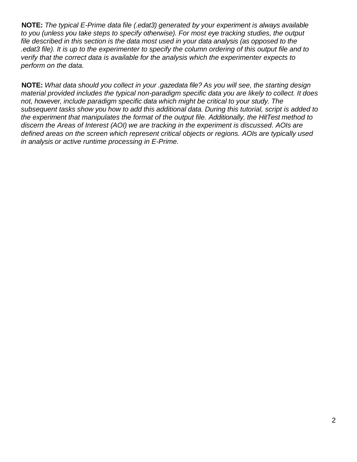**NOTE:** *The typical E-Prime data file (.edat3) generated by your experiment is always available to you (unless you take steps to specify otherwise). For most eye tracking studies, the output file described in this section is the data most used in your data analysis (as opposed to the .edat3 file). It is up to the experimenter to specify the column ordering of this output file and to verify that the correct data is available for the analysis which the experimenter expects to perform on the data.*

**NOTE:** *What data should you collect in your .gazedata file? As you will see, the starting design material provided includes the typical non-paradigm specific data you are likely to collect. It does not, however, include paradigm specific data which might be critical to your study. The subsequent tasks show you how to add this additional data. During this tutorial, script is added to the experiment that manipulates the format of the output file. Additionally, the HitTest method to discern the Areas of Interest (AOI) we are tracking in the experiment is discussed. AOIs are defined areas on the screen which represent critical objects or regions. AOIs are typically used in analysis or active runtime processing in E-Prime.*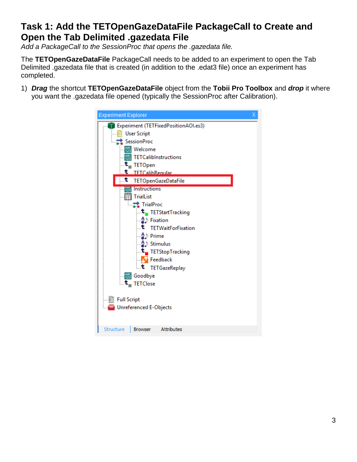## **Task 1: Add the TETOpenGazeDataFile PackageCall to Create and Open the Tab Delimited .gazedata File**

*Add a PackageCall to the SessionProc that opens the .gazedata file.* 

The **TETOpenGazeDataFile** PackageCall needs to be added to an experiment to open the Tab Delimited .gazedata file that is created (in addition to the .edat3 file) once an experiment has completed.

1) *Drag* the shortcut **TETOpenGazeDataFile** object from the **Tobii Pro Toolbox** and *drop* it where you want the .gazedata file opened (typically the SessionProc after Calibration).

| Experiment (TETFixedPositionAOI.es3)<br><b>User Script</b><br>SessionProc<br>ABC Welcome<br><b>图 TETCalibInstructions</b><br>$\mathbf{t}_{\scriptscriptstyle{-}}$ TETOpen<br>TFTCalibReqular<br>t<br>∴.t<br>TETOpenGazeDataFile<br><b>ABL</b> Instructions<br><b>图 TrialList</b><br><b>TrialProc</b> |  |
|------------------------------------------------------------------------------------------------------------------------------------------------------------------------------------------------------------------------------------------------------------------------------------------------------|--|
| t_TETStartTracking<br>– 4) Fixation<br><b>t</b> TETWaitForFixation<br>— <u>4</u> ⊅ Prime<br>t. TETStopTracking<br><b>Feedback</b><br><b>t</b> TETGazeReplay<br>···· <sub>125</sub> Goodbye<br>$\mathbf{t}_{\text{-}}$ TETClose                                                                       |  |
| <b>Full Script</b><br><b>Unreferenced E-Objects</b><br><b>Structure</b><br>Attributes<br><b>Browser</b>                                                                                                                                                                                              |  |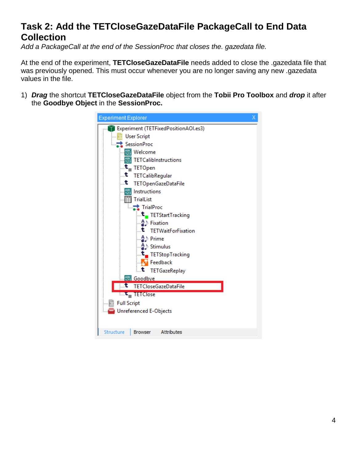# **Task 2: Add the TETCloseGazeDataFile PackageCall to End Data Collection**

*Add a PackageCall at the end of the SessionProc that closes the. gazedata file.*

At the end of the experiment, **TETCloseGazeDataFile** needs added to close the .gazedata file that was previously opened. This must occur whenever you are no longer saving any new .gazedata values in the file.

1) *Drag* the shortcut **TETCloseGazeDataFile** object from the **Tobii Pro Toolbox** and *drop* it after the **Goodbye Object** in the **SessionProc.**

| <b>Experiment Explorer</b> |                                                       | х |  |  |  |  |  |
|----------------------------|-------------------------------------------------------|---|--|--|--|--|--|
|                            | <b>Experiment (TETFixedPositionAOI.es3)</b>           |   |  |  |  |  |  |
|                            | <b>User Script</b>                                    |   |  |  |  |  |  |
|                            | SessionProc                                           |   |  |  |  |  |  |
|                            | ABC Welcome                                           |   |  |  |  |  |  |
|                            | <b>ABS</b> TETCalibInstructions                       |   |  |  |  |  |  |
|                            | . <b>t</b> _ TETOpen                                  |   |  |  |  |  |  |
| .t                         | TETCalibRegular                                       |   |  |  |  |  |  |
| ∴.t                        | <b>TETOpenGazeDataFile</b>                            |   |  |  |  |  |  |
|                            | ABC Instructions                                      |   |  |  |  |  |  |
|                            | <b>图 TrialList</b>                                    |   |  |  |  |  |  |
|                            | TrialProc                                             |   |  |  |  |  |  |
|                            | t_TETStartTracking                                    |   |  |  |  |  |  |
|                            | – Al Fixation                                         |   |  |  |  |  |  |
|                            | t TETWaitForFixation                                  |   |  |  |  |  |  |
|                            |                                                       |   |  |  |  |  |  |
|                            | – Al Stimulus                                         |   |  |  |  |  |  |
|                            | … <sup>t</sup> . TETStopTracking                      |   |  |  |  |  |  |
|                            | Feedback                                              |   |  |  |  |  |  |
|                            | <b>t</b> TETGazeReplay                                |   |  |  |  |  |  |
|                            | <sup>ABC</sup> Goodbye<br><b>TETCloseGazeDataFile</b> |   |  |  |  |  |  |
|                            |                                                       |   |  |  |  |  |  |
|                            | <b>E.C.</b> TETClose                                  |   |  |  |  |  |  |
| <b>Full Script</b>         |                                                       |   |  |  |  |  |  |
|                            | <b>Unreferenced E-Objects</b>                         |   |  |  |  |  |  |
| Structure                  | <b>Attributes</b><br><b>Browser</b>                   |   |  |  |  |  |  |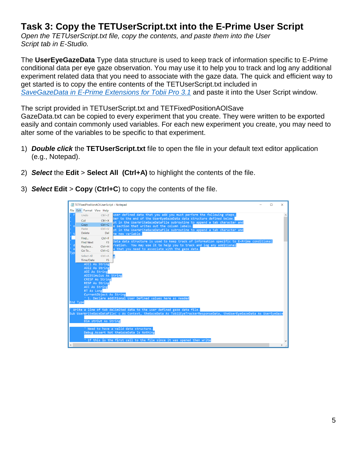# **Task 3: Copy the TETUserScript.txt into the E-Prime User Script**

*Open the TETUserScript.txt file, copy the contents, and paste them into the User Script tab in E-Studio.*

The **UserEyeGazeData** Type data structure is used to keep track of information specific to E-Prime conditional data per eye gaze observation. You may use it to help you to track and log any additional experiment related data that you need to associate with the gaze data. The quick and efficient way to get started is to copy the entire contents of the TETUserScript.txt included in *[SaveGazeData in E-Prime Extensions for Tobii Pro 3.1](http://www.pstnet.com/scripts/common/keyword/?KeyWord=KB28886)* and paste it into the User Script window.

The script provided in TETUserScript.txt and TETFixedPositionAOISave

GazeData.txt can be copied to every experiment that you create. They were written to be exported easily and contain commonly used variables. For each new experiment you create, you may need to alter some of the variables to be specific to that experiment.

- 1) *Double click* the **TETUserScript.txt** file to open the file in your default text editor application (e.g., Notepad).
- 2) *Select* the **Edit** > **Select All (Ctrl+A)** to highlight the contents of the file.
- 3) *Select* **Edit** > **Copy** (**Ctrl+C**) to copy the contents of the file.

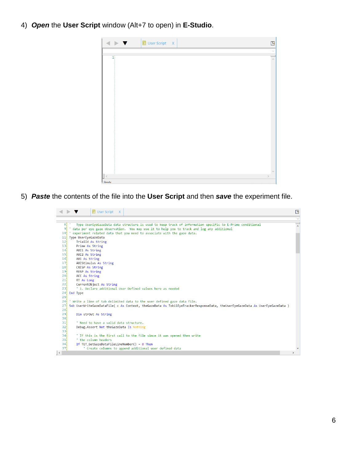4) *Open* the **User Script** window (Alt+7 to open) in **E-Studio**.



5) *Paste* the contents of the file into the **User Script** and then *save* the experiment file.

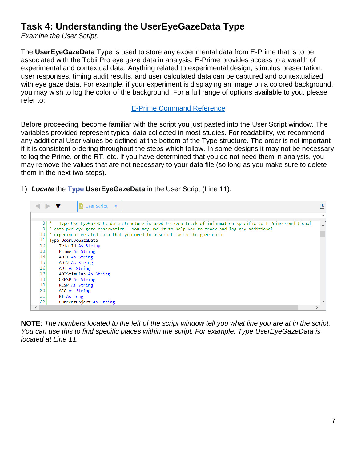## **Task 4: Understanding the UserEyeGazeData Type**

*Examine the User Script.*

The **UserEyeGazeData** Type is used to store any experimental data from E-Prime that is to be associated with the Tobii Pro eye gaze data in analysis. E-Prime provides access to a wealth of experimental and contextual data. Anything related to experimental design, stimulus presentation, user responses, timing audit results, and user calculated data can be captured and contextualized with eye gaze data. For example, if your experiment is displaying an image on a colored background, you may wish to log the color of the background. For a full range of options available to you, please refer to:

#### [E-Prime Command Reference](http://www.pstnet.com/ecr/index.htm?&KeyWord=ECR&VersionMajor=3&VersionMinor=0&VersionInternal=3&VersionBuild=60&VersionPatch=&ServicePack=0&SerialNumber=8B9-CB7DC48-684DC484&Professional=1#t=Welcome_files%2F_K_Welcome_to_the_E_Basic_Language_Reference_Guide.htm)

Before proceeding, become familiar with the script you just pasted into the User Script window. The variables provided represent typical data collected in most studies. For readability, we recommend any additional User values be defined at the bottom of the Type structure. The order is not important if it is consistent ordering throughout the steps which follow. In some designs it may not be necessary to log the Prime, or the RT, etc. If you have determined that you do not need them in analysis, you may remove the values that are not necessary to your data file (so long as you make sure to delete them in the next two steps).

1) *Locate* the **Type UserEyeGazeData** in the User Script (Line 11).



**NOTE**: *The numbers located to the left of the script window tell you what line you are at in the script. You can use this to find specific places within the script. For example, Type UserEyeGazeData is located at Line 11.*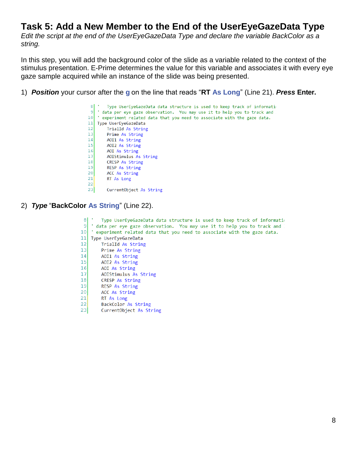#### **Task 5: Add a New Member to the End of the UserEyeGazeData Type**

*Edit the script at the end of the UserEyeGazeData Type and declare the variable BackColor as a string.*

In this step, you will add the background color of the slide as a variable related to the context of the stimulus presentation. E-Prime determines the value for this variable and associates it with every eye gaze sample acquired while an instance of the slide was being presented.

1) *Position* your cursor after the **g** on the line that reads "**RT As Long**" (Line 21). *Press* **Enter.**

```
8| \cdotType UserEyeGazeData data structure is used to keep track of information
 9 data per eye gaze observation. You may use it to help you to track and
10 'experiment related data that you need to associate with the gaze data.
11 Type UserEyeGazeData
12TrialId As String
13Prime As String
      AOI1 As String
14AOIL AS String<br>AOIL As String<br>AOIStimulus As String
151617CRESP As String
18<sup>1</sup>RESP As String
19<sup>1</sup>20<sup>1</sup>ACC As String
21
        RT As Long
2223CurrentObject As String
```
#### 2) *Type* "**BackColor As String**" (Line 22).

```
8| \cdotType UserEyeGazeData data structure is used to keep track of informatio
9 ' data per eye gaze observation. You may use it to help you to track and
10 'experiment related data that you need to associate with the gaze data.
11 Type UserEyeGazeData
12TrialId As String
13Prime As String
14AOI1 As String
    AOI2 As String
15AOI As String
16AOIStimulus As String
1718CRESP As String
19RESP As String
20ACC As String
21RT As Long
22BackColor As String
23CurrentObject As String
```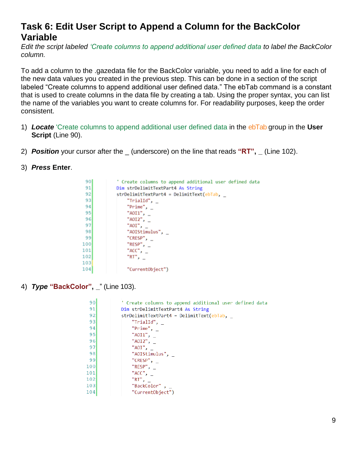### **Task 6: Edit User Script to Append a Column for the BackColor Variable**

*Edit the script labeled 'Create columns to append additional user defined data to label the BackColor column.*

To add a column to the .gazedata file for the BackColor variable, you need to add a line for each of the new data values you created in the previous step. This can be done in a section of the script labeled "Create columns to append additional user defined data." The ebTab command is a constant that is used to create columns in the data file by creating a tab. Using the proper syntax, you can list the name of the variables you want to create columns for. For readability purposes, keep the order consistent.

- 1) *Locate* 'Create columns to append additional user defined data in the ebTab group in the **User Script (Line 90).**
- 2) *Position* your cursor after the \_ (underscore) on the line that reads **"RT", \_** (Line 102).
- 3) *Press* **Enter**.

| 90 <sub>1</sub> | ' Create columns to append additional user defined data |
|-----------------|---------------------------------------------------------|
| 91              | Dim strDelimitTextPart4 As String                       |
| 92              | strDelimitTextPart4 = DelimitText(ebTab,                |
| 93              | "TrialId",                                              |
| 94              | "Prime", $_{-}$                                         |
| 95              | "AOI1", $-$                                             |
| 96              | " $A O I 2$ ", $\overline{\phantom{a}}$                 |
| 97              | "AOI", $-$                                              |
| 98              | "AOIStimulus",                                          |
| 99              | "CRESP", $_{-}$                                         |
| 100             | "RESP", $_{-}$                                          |
| 101             | "ACC", $-$                                              |
| 102             | "RT", $-$                                               |
| 103             |                                                         |
| 104             | "CurrentObject")                                        |
|                 |                                                         |

4) *Type* **"BackColor", \_**" (Line 103).

| 90  | ' Create columns to append additional user defined data |
|-----|---------------------------------------------------------|
| 91  | Dim strDelimitTextPart4 As String                       |
| 92  | strDelimitTextPart4 = DelimitText(ebTab,                |
| 93  | "TrialId", $\_$                                         |
| 94  | "Prime",                                                |
| 95  | " $A0I1$ ", $\overline{\phantom{0}}$                    |
| 96  | " $A0I2$ ", $\overline{\phantom{0}}$                    |
| 97  | "AOI",                                                  |
| 98  | "AOIStimulus",                                          |
| 99  | "CRESP", $\overline{\phantom{a}}$                       |
| 100 | "RESP",                                                 |
| 101 | "ACC",                                                  |
| 102 | "RT",                                                   |
| 103 | "BackColor" ,                                           |
| 104 | "CurrentObject")                                        |
|     |                                                         |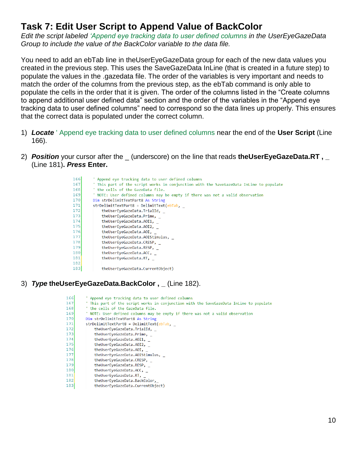## **Task 7: Edit User Script to Append Value of BackColor**

*Edit the script labeled 'Append eye tracking data to user defined columns in the UserEyeGazeData Group to include the value of the BackColor variable to the data file.*

You need to add an ebTab line in theUserEyeGazeData group for each of the new data values you created in the previous step. This uses the SaveGazeData InLine (that is created in a future step) to populate the values in the .gazedata file. The order of the variables is very important and needs to match the order of the columns from the previous step, as the ebTab command is only able to populate the cells in the order that it is given. The order of the columns listed in the "Create columns to append additional user defined data" section and the order of the variables in the "Append eye tracking data to user defined columns" need to correspond so the data lines up properly. This ensures that the correct data is populated under the correct column.

- 1) *Locate* ' Append eye tracking data to user defined columns near the end of the **User Script** (Line 166).
- 2) *Position* your cursor after the \_ (underscore) on the line that reads **theUserEyeGazeData.RT , \_** (Line 181)**.** *Press* **Enter.**



#### 3) *Type* **theUserEyeGazeData.BackColor , \_** (Line 182).

| 166  | ' Append eye tracking data to user defined columns                                      |
|------|-----------------------------------------------------------------------------------------|
| 1671 | ' This part of the script works in conjunction with the SaveGazeData InLine to populate |
| 168  | ' the cells of the GazeData file.                                                       |
| 1691 | NOTE: User defined columns may be empty if there was not a valid observation            |
| 170  | Dim strDelimitTextPart8 As String                                                       |
| 171  | strDelimitTextPart8 = DelimitText(ebTab,                                                |
| 172  | theUserEyeGazeData.TrialId,                                                             |
| 1731 | theUserEyeGazeData.Prime,                                                               |
| 174  | theUserEyeGazeData.AOI1,                                                                |
| 1751 | theUserEyeGazeData.AOI2,                                                                |
| 1761 | theUserEyeGazeData.AOI,                                                                 |
| 1771 | theUserEyeGazeData.AOIStimulus,                                                         |
| 178  | theUserEyeGazeData.CRESP,                                                               |
| 179  | theUserEyeGazeData.RESP,                                                                |
| 180  | theUserEyeGazeData.ACC,                                                                 |
| 181  | theUserEyeGazeData.RT,                                                                  |
| 1821 | theUserEyeGazeData.BackColor,                                                           |
| 183  | theUserEyeGazeData.CurrentObject)                                                       |
|      |                                                                                         |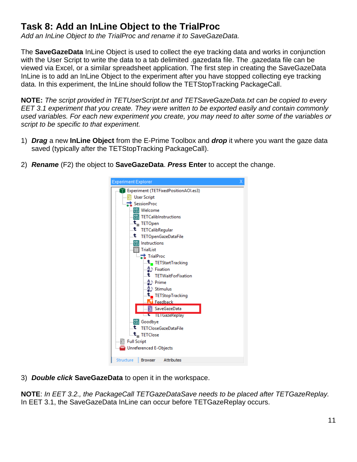# **Task 8: Add an InLine Object to the TrialProc**

*Add an InLine Object to the TrialProc and rename it to SaveGazeData.*

The **SaveGazeData** InLine Object is used to collect the eye tracking data and works in conjunction with the User Script to write the data to a tab delimited .gazedata file. The .gazedata file can be viewed via Excel, or a similar spreadsheet application. The first step in creating the SaveGazeData InLine is to add an InLine Object to the experiment after you have stopped collecting eye tracking data. In this experiment, the InLine should follow the TETStopTracking PackageCall.

**NOTE:** *The script provided in TETUserScript.txt and TETSaveGazeData.txt can be copied to every EET 3.1 experiment that you create. They were written to be exported easily and contain commonly used variables. For each new experiment you create, you may need to alter some of the variables or script to be specific to that experiment.*

1) *Drag* a new **InLine Object** from the E-Prime Toolbox and *drop* it where you want the gaze data saved (typically after the TETStopTracking PackageCall).



2) *Rename* (F2) the object to **SaveGazeData**. *Press* **Enter** to accept the change.

3) *Double click* **SaveGazeData** to open it in the workspace.

**NOTE**: *In EET 3.2., the PackageCall TETGazeDataSave needs to be placed after TETGazeReplay.* In EET 3.1, the SaveGazeData InLine can occur before TETGazeReplay occurs.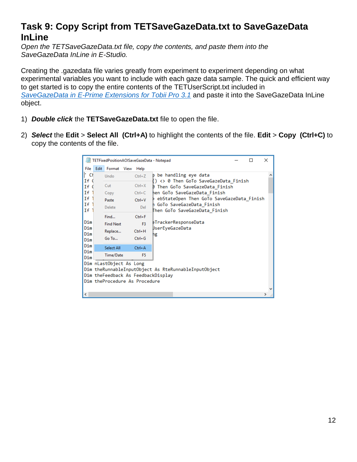## **Task 9: Copy Script from TETSaveGazeData.txt to SaveGazeData InLine**

*Open the TETSaveGazeData.txt file, copy the contents, and paste them into the SaveGazeData InLine in E-Studio.*

Creating the .gazedata file varies greatly from experiment to experiment depending on what experimental variables you want to include with each gaze data sample. The quick and efficient way to get started is to copy the entire contents of the TETUserScript.txt included in *[SaveGazeData in E-Prime Extensions for Tobii Pro 3.1](http://www.pstnet.com/scripts/common/keyword/?KeyWord=KB28886)* and paste it into the SaveGazeData InLine object.

- 1) *Double click* the **TETSaveGazeData.txt** file to open the file.
- 2) *Select* the **Edit** > **Select All (Ctrl+A)** to highlight the contents of the file. **Edit** > **Copy (Ctrl+C)** to copy the contents of the file.

|                          | TETFixedPositionAOISaveGazeData - Notepad                                                      |                                                          | п                                                               | X |  |  |  |  |  |  |
|--------------------------|------------------------------------------------------------------------------------------------|----------------------------------------------------------|-----------------------------------------------------------------|---|--|--|--|--|--|--|
| File                     | Edit Format View Help                                                                          |                                                          |                                                                 |   |  |  |  |  |  |  |
| Cł<br>If (               | Undo                                                                                           | $Ctrl + Z$                                               | p be handling eye data<br>() <> 0 Then GoTo SaveGazeData Finish |   |  |  |  |  |  |  |
| If (                     | Cut                                                                                            | $Ctrl+X$                                                 | D Then GoTo SaveGazeData Finish                                 |   |  |  |  |  |  |  |
| If <sub>1</sub>          | Copy                                                                                           | $Ctrl + C$                                               | hen GoTo SaveGazeData Finish                                    |   |  |  |  |  |  |  |
| If                       | Paste                                                                                          | $Ctrl + V$                                               | ebStateOpen Then GoTo SaveGazeData Finish                       |   |  |  |  |  |  |  |
| If<br>If                 | Delete                                                                                         | Del                                                      | n GoTo SaveGazeData Finish<br>Then GoTo SaveGazeData Finish     |   |  |  |  |  |  |  |
| Dim<br>Dim<br>Dim<br>Dim | Find<br><b>Find Next</b><br>Replace<br>Go To                                                   | $Ctrl + F$<br>F <sub>3</sub><br>$Ctrl + H$<br>$Ctrl + G$ | eTrackerResponseData<br><b>UserEyeGazeData</b><br>ng            |   |  |  |  |  |  |  |
| Dim                      | Select All                                                                                     | $Ctrl + A$                                               |                                                                 |   |  |  |  |  |  |  |
| Dim<br>Dim               | Time/Date                                                                                      | F5                                                       |                                                                 |   |  |  |  |  |  |  |
|                          | Dim nLastObject As Long<br>Dim theFeedback As FeedbackDisplay<br>Dim theProcedure As Procedure |                                                          | Dim theRunnableInputObject As RteRunnableInputObject            |   |  |  |  |  |  |  |
| ⋖                        |                                                                                                |                                                          |                                                                 | ⋗ |  |  |  |  |  |  |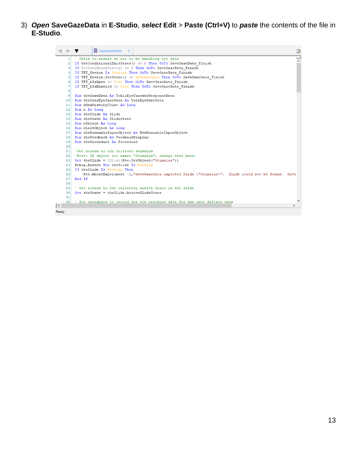3) *Open* **SaveGazeData** in **E-Studio**, *select* **Edit** > **Paste (Ctrl+V)** to *paste* the contents of the file in **E-Studio**.

|           | ■ SaveGazeData X                                                                                         | 凹                          |
|-----------|----------------------------------------------------------------------------------------------------------|----------------------------|
|           | ' Check to ensure we are to be handling eye data<br>11                                                   | $\boldsymbol{\mathcal{A}}$ |
|           | If GetConditionalExitState() <> 0 Then GoTo SaveGazeData Finish<br>21                                    |                            |
|           | 3 If GetUserBreakState() <> 0 Then GoTo SaveGazeData Finish                                              |                            |
|           | If TET Device Is Nothing Then GoTo SaveGazeData Finish<br>41                                             |                            |
|           | If TET Device.GetState() <> ebStateOpen Then GoTo SaveGazeData Finish<br>5                               |                            |
|           | If TET bIsOpen <> True Then GoTo SaveGazeData Finish<br>61                                               |                            |
|           | If TET bIsEnabled <> True Then GoTo SaveGazeData Finish<br>7                                             |                            |
|           | $\mathbf{8}$                                                                                             |                            |
|           | Dim theGazeData As TobiiEyeTrackerResponseData<br>91                                                     |                            |
|           | 10 Dim theUserEveGazeData As UserEveGazeData                                                             |                            |
|           | Dim nMaxHistoryCount As Long<br>11 <sup>1</sup>                                                          |                            |
|           | Dim n As Long<br>121                                                                                     |                            |
|           | Dim theSlide As Slide<br>13 <sup>1</sup>                                                                 |                            |
|           | 14 Dim theState As SlideState                                                                            |                            |
|           | 15 Dim nObject As Long                                                                                   |                            |
|           | 16 Dim nLastObject As Long                                                                               |                            |
|           | Dim theRunnableInputObject As RteRunnableInputObject<br>17 <sup>1</sup>                                  |                            |
|           | Dim theFeedback As FeedbackDisplay<br>18 <sup>1</sup>                                                    |                            |
|           | Dim theProcedure As Procedure<br>19 <sup>1</sup>                                                         |                            |
|           | 20!                                                                                                      |                            |
|           | 21!<br>'Get access to the critical stimulus                                                              |                            |
|           | 'Note: If object not named "Stimulus", change that here.<br>221                                          |                            |
|           | Set theSlide = CSlide (Rte.GetObject ("Stimulus"))<br>231                                                |                            |
|           | Debug. Assert Not the Slide Is Nothing<br>241                                                            |                            |
|           | 25<br>If the Slide Is Nothing Then                                                                       |                            |
|           | Rte.AbortExperiment -1, "SaveGazeData expected Slide \"Stimulus\". Slide could not be found. Save<br>261 |                            |
|           | End If<br>27 <sup>1</sup>                                                                                |                            |
|           | 28                                                                                                       |                            |
|           | 29<br>' Get access to the currently active state on the slide                                            |                            |
|           | Set theState = theSlide.ActiveSlideState<br>30!                                                          |                            |
|           | 31                                                                                                       |                            |
|           | 321<br>' Set variables to record the eve tracking data for the user defined data                         |                            |
| $\,$ $\,$ |                                                                                                          | ъ                          |
| Ready     |                                                                                                          |                            |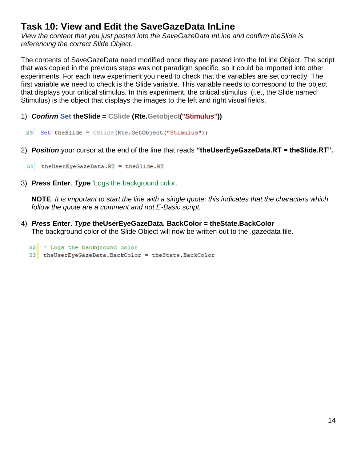## <span id="page-13-0"></span>**Task 10: View and Edit the SaveGazeData InLine**

*View the content that you just pasted into the SaveGazeData InLine and confirm theSlide is referencing the correct Slide Object.*

The contents of SaveGazeData need modified once they are pasted into the InLine Object. The script that was copied in the previous steps was not paradigm specific, so it could be imported into other experiments. For each new experiment you need to check that the variables are set correctly. The first variable we need to check is the Slide variable. This variable needs to correspond to the object that displays your critical stimulus. In this experiment, the critical stimulus (i.e., the Slide named Stimulus) is the object that displays the images to the left and right visual fields.

- 1) *Confirm* **Set theSlide = CSlide (Rte.Getobject("Stimulus"))**
	- 23 Set the Slide =  $C$ Slide (Rte. GetObject ("Stimulus"))
- 2) *Position* your cursor at the end of the line that reads **"theUserEyeGazeData.RT = theSlide.RT".**
	- 51 the User Eye Gaze Data. RT = the Slide. RT
- 3) *Press* **Enter**. *Type* 'Logs the background color.

**NOTE**: *It is important to start the line with a single quote; this indicates that the characters which follow the quote are a comment and not E-Basic script.*

4) *Press* **Enter**. *Type* **theUserEyeGazeData. BackColor = theState.BackColor**  The background color of the Slide Object will now be written out to the .gazedata file.

```
52 ' Logs the background color
53 the User Eye Gaze Data. BackColor = the State. BackColor
```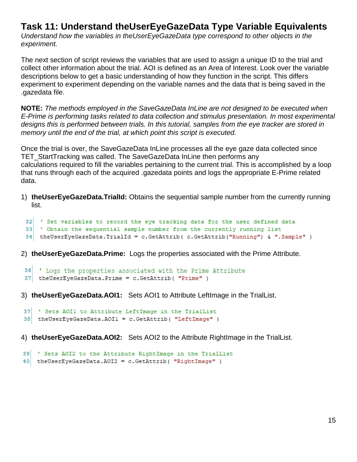#### **Task 11: Understand theUserEyeGazeData Type Variable Equivalents**

*Understand how the variables in theUserEyeGazeData type correspond to other objects in the experiment.*

The next section of script reviews the variables that are used to assign a unique ID to the trial and collect other information about the trial. AOI is defined as an Area of Interest. Look over the variable descriptions below to get a basic understanding of how they function in the script. This differs experiment to experiment depending on the variable names and the data that is being saved in the .gazedata file.

**NOTE:** *The methods employed in the SaveGazeData InLine are not designed to be executed when E-Prime is performing tasks related to data collection and stimulus presentation. In most experimental designs this is performed between trials. In this tutorial, samples from the eye tracker are stored in memory until the end of the trial, at which point this script is executed.*

Once the trial is over, the SaveGazeData InLine processes all the eye gaze data collected since TET\_StartTracking was called. The SaveGazeData InLine then performs any calculations required to fill the variables pertaining to the current trial. This is accomplished by a loop that runs through each of the acquired .gazedata points and logs the appropriate E-Prime related data.

1) **theUserEyeGazeData.TrialId:** Obtains the sequential sample number from the currently running list.

```
32 ' Set variables to record the eye tracking data for the user defined data
33 ' Obtain the sequential sample number from the currently running list
```

```
34 the User Eye Gaze Data. Trial Id = c. Get Attrib ( c. Get Attrib ("Running") & ". Sample")
```
- 
- 2) **theUserEyeGazeData.Prime:** Logs the properties associated with the Prime Attribute.

```
36 ' Logs the properties associated with the Prime Attribute
37 the User Eye Gaze Data. Prime = c. Get Attrib ( "Prime" )
```
3) **theUserEyeGazeData.AOI1:** Sets AOI1 to Attribute LeftImage in the TrialList.

```
37 'Sets AOI1 to Attribute LeftImage in the TrialList
38 the User Eye Gaze Data. AOI1 = c. Get Attrib ( "Left Image" )
```
4) **theUserEyeGazeData.AOI2:** Sets AOI2 to the Attribute RightImage in the TrialList.

```
39 'Sets AOI2 to the Attribute RightImage in the TrialList
40 the User Eye Gaze Data. AOI2 = c. Get Attrib ( "Right Image" )
```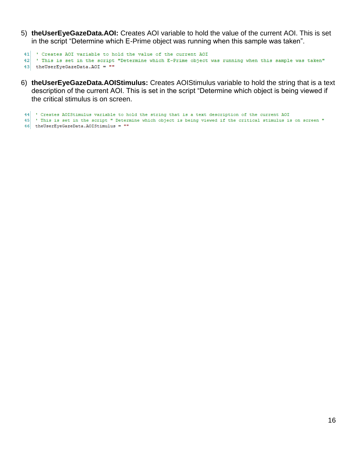5) **theUserEyeGazeData.AOI:** Creates AOI variable to hold the value of the current AOI. This is set in the script "Determine which E-Prime object was running when this sample was taken".

```
41 Creates AOI variable to hold the value of the current AOI
42 ' This is set in the script "Determine which E-Prime object was running when this sample was taken"
43 the User Eye Gaze Data. AOI = ^{\text{m}}
```
6) **theUserEyeGazeData.AOIStimulus:** Creates AOIStimulus variable to hold the string that is a text description of the current AOI. This is set in the script "Determine which object is being viewed if the critical stimulus is on screen.

```
44 Creates AOIStimulus variable to hold the string that is a text description of the current AOI
45 ' This is set in the script " Determine which object is being viewed if the critical stimulus is on screen "
46 the User Eye Gaze Data. AOIStimulus = ""
```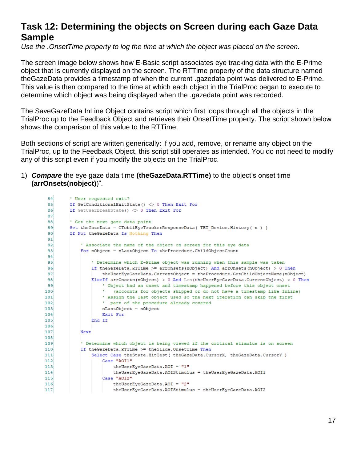#### **Task 12: Determining the objects on Screen during each Gaze Data Sample**

*Use the .OnsetTime property to log the time at which the object was placed on the screen.*

The screen image below shows how E-Basic script associates eye tracking data with the E-Prime object that is currently displayed on the screen. The RTTime property of the data structure named theGazeData provides a timestamp of when the current .gazedata point was delivered to E-Prime. This value is then compared to the time at which each object in the TrialProc began to execute to determine which object was being displayed when the .gazedata point was recorded.

The SaveGazeData InLine Object contains script which first loops through all the objects in the TrialProc up to the Feedback Object and retrieves their OnsetTime property. The script shown below shows the comparison of this value to the RTTime.

Both sections of script are written generically: if you add, remove, or rename any object on the TrialProc, up to the Feedback Object, this script still operates as intended. You do not need to modify any of this script even if you modify the objects on the TrialProc.

1) *Compare* the eye gaze data time **(theGazeData.RTTime)** to the object's onset time **(arrOnsets(nobject)**)".

```
RA' User requested exit?
 85<sup>1</sup>If GetConditionalExitState() <> 0 Then Exit For
       If GetUserBreakState() <> 0 Then Exit For
 86<sup>1</sup>87
        ' Get the next gaze data point
 88
       Set the GazeData = CTobiiEyeTraceEResponseData(TET_Device.History( n ) )89If Not the GazeData Is Nothing Then
 lan i
 9192' Associate the name of the object on screen for this eye data
 93<sup>1</sup>For nObject = nLastObject To theProcedure.ChildObjectCount
 9495<sup>1</sup>' Determine which E-Prime object was running when this sample was taken
 96If the GazeData. RTTime >= arrOnsets (nObject) And arrOnsets (nObject) > 0 Then
 97theUserEyeGazeData.CurrentObject = theProcedure.GetChildObjectName(nObject)
98
               ElseIf arrOnsets (nObject) > 0 And Len (theUserEyeGazeData.CurrentObject) > 0 Then
أوو
                    ' Object had an onset and timestamp happened before this object onset
100<sup>1</sup>(accounts for objects skipped or do not have a timestamp like InLine)
101' Assign the last object used so the next iteration can skip the first
                     ' part of the procedure already covered
102103nLastObject = nObject
104Exit For
               End If
105106107Next
108' Determine which object is being viewed if the critical stimulus is on screen
109110If theGazeData.RTTime >= theSlide.OnsetTime Then
111Select Case theState.HitTest ( theGazeData.CursorX, theGazeData.CursorY )
112Case "AOI1"
                        theUserEyeGazeData.AOI = "1"
113114theUserEyeGazeData.AOIStimulus = theUserEyeGazeData.AOI1
115
                   Case "AOI2"
116theUserEveGazeData.AOI = "2"
117
                         theUserEyeGazeData.AOIStimulus = theUserEyeGazeData.AOI2
```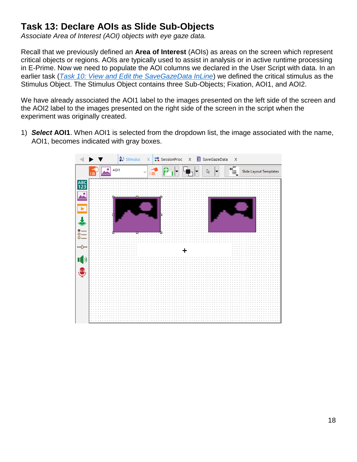# **Task 13: Declare AOIs as Slide Sub-Objects**

*Associate Area of Interest (AOI) objects with eye gaze data.*

Recall that we previously defined an **Area of Interest** (AOIs) as areas on the screen which represent critical objects or regions. AOIs are typically used to assist in analysis or in active runtime processing in E-Prime. Now we need to populate the AOI columns we declared in the User Script with data. In an earlier task (*[Task 10: View and Edit the SaveGazeData InLine](#page-13-0)*) we defined the critical stimulus as the Stimulus Object. The Stimulus Object contains three Sub-Objects; Fixation, AOI1, and AOI2.

We have already associated the AOI1 label to the images presented on the left side of the screen and the AOI2 label to the images presented on the right side of the screen in the script when the experiment was originally created.

1) *Select* **AOI1**. When AOI1 is selected from the dropdown list, the image associated with the name, AOI1, becomes indicated with gray boxes.

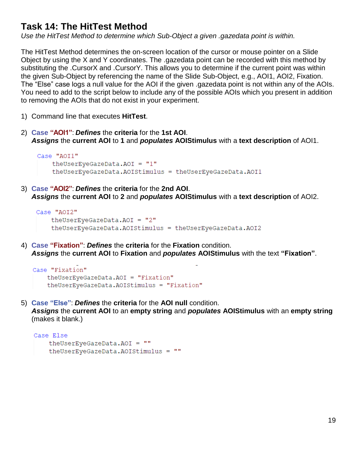## **Task 14: The HitTest Method**

*Use the HitTest Method to determine which Sub-Object a given .gazedata point is within.*

The HitTest Method determines the on-screen location of the cursor or mouse pointer on a Slide Object by using the X and Y coordinates. The .gazedata point can be recorded with this method by substituting the .CursorX and .CursorY. This allows you to determine if the current point was within the given Sub-Object by referencing the name of the Slide Sub-Object, e.g., AOI1, AOI2, Fixation. The "Else" case logs a null value for the AOI if the given .gazedata point is not within any of the AOIs. You need to add to the script below to include any of the possible AOIs which you present in addition to removing the AOIs that do not exist in your experiment.

- 1) Command line that executes **HitTest**.
- 2) **Case "AOI1"**: *Defines* the **criteria** for the **1st AOI**. *Assigns* the **current AOI** to **1** and *populates* **AOIStimulus** with a **text description** of AOI1.

```
Case "AOT1"
    theUserEyeGazeData.AOI = "1"
    theUserEyeGazeData.AOIStimulus = theUserEyeGazeData.AOI1
```
3) **Case "AOI2"**: *Defines* the **criteria** for the **2nd AOI**. *Assigns* the **current AOI** to **2** and *populates* **AOIStimulus** with a **text description** of AOI2.

```
Case "AOI2"
    the User Eye Gaze Data. AOI = "2"theUserEyeGazeData.AOIStimulus = theUserEyeGazeData.AOI2
```
4) **Case "Fixation"**: *Defines* the **criteria** for the **Fixation** condition. *Assigns* the **current AOI** to **Fixation** and *populates* **AOIStimulus** with the text **"Fixation"**.

```
Case "Fixation"
   theUserEyeGazeData.AOI = "Fixation"
    theUserEyeGazeData.AOIStimulus = "Fixation"
```
5) **Case "Else"**: *Defines* the **criteria** for the **AOI null** condition. *Assigns* the **current AOI** to an **empty string** and *populates* **AOIStimulus** with an **empty string** (makes it blank.)

```
Case Else
    theUserEyeGazeData.AOI = ""
    theUserEyeGazeData.AOIStimulus = ""
```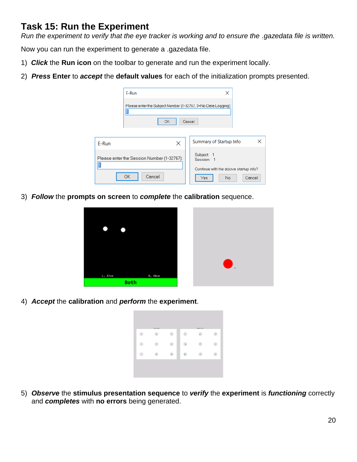## **Task 15: Run the Experiment**

*Run the experiment to verify that the eye tracker is working and to ensure the .gazedata file is written.*

Now you can run the experiment to generate a .gazedata file.

- 1) *Click* the **Run icon** on the toolbar to generate and run the experiment locally.
- 2) *Press* **Enter** to *accept* the **default values** for each of the initialization prompts presented.

|       | E-Run                                                                          | ×                                                             |  |
|-------|--------------------------------------------------------------------------------|---------------------------------------------------------------|--|
|       | Please enter the Subject Number (1-32767, 0=No Data Logging):<br>Cancel<br>OK. |                                                               |  |
|       |                                                                                |                                                               |  |
| E-Run | ×                                                                              | ×<br>Summary of Startup Info                                  |  |
|       | Please enter the Session Number (1-32767):                                     | Subject: 1<br>Session: 1                                      |  |
|       | Cancel<br>ОК                                                                   | Continue with the above startup info?<br>No<br>Yes.<br>Cancel |  |

3) *Follow* the **prompts on screen** to *complete* the **calibration** sequence.



4) *Accept* the **calibration** and *perform* the **experiment**.

| ٠ | Left Eye |   | Right Eye |            |
|---|----------|---|-----------|------------|
|   | ¥        |   |           |            |
|   | ٠        |   |           | $\epsilon$ |
|   |          | ٠ |           |            |

5) *Observe* the **stimulus presentation sequence** to *verify* the **experiment** is *functioning* correctly and *completes* with **no errors** being generated.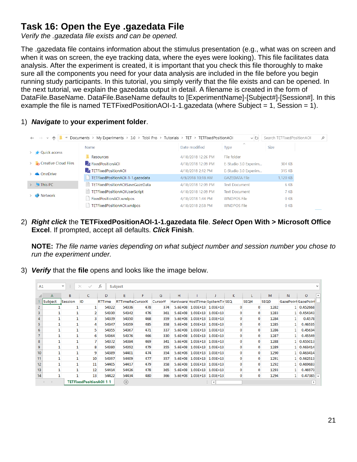# <span id="page-20-0"></span>**Task 16: Open the Eye .gazedata File**

*Verify the .gazedata file exists and can be opened.*

The .gazedata file contains information about the stimulus presentation (e.g., what was on screen and when it was on screen, the eye tracking data, where the eyes were looking). This file facilitates data analysis. After the experiment is created, it is important that you check this file thoroughly to make sure all the components you need for your data analysis are included in the file before you begin running study participants. In this tutorial, you simply verify that the file exists and can be opened. In the next tutorial, we explain the gazedata output in detail. A filename is created in the form of DataFile.BaseName. DataFile.BaseName defaults to [ExperimentName]-[Subject#]-[Session#]. In this example the file is named TETFixedPositionAOI-1-1.gazedata (where Subject = 1, Session = 1).

1) *Navigate* to **your experiment folder**.

| $\rightarrow$ $\sim$ $\wedge$ | Documents > My Experiments > 3.0 > Tobii Pro > Tutorials > TET > TETFixedPositionAOI |                    | $\sim$ 0                   | Search TETFixedPositionAOI | م |
|-------------------------------|--------------------------------------------------------------------------------------|--------------------|----------------------------|----------------------------|---|
|                               | <b>Name</b>                                                                          | Date modified      | $\curvearrowright$<br>Type | <b>Size</b>                |   |
| <b>Quick access</b>           | Resources                                                                            | 4/18/2018 12:26 PM | File folder                |                            |   |
| <b>Creative Cloud Files</b>   | <b>E.</b> FixedPositionAOI                                                           | 4/18/2018 12:09 PM | E-Studio 3.0 Experim       | 304 KB                     |   |
| <b>C</b> OneDrive             | <b>E.</b> TETFixedPositionAOI                                                        | 4/18/2018 2:12 PM  | E-Studio 3.0 Experim       | 315 KB                     |   |
|                               | TETFixedPositionAOI-1-1.gazedata                                                     | 4/9/2018 10:18 AM  | <b>GAZEDATA File</b>       | 1,120 KB                   |   |
| $\sum$ This PC                | TETFixedPositionAOISaveGazeData                                                      | 4/18/2018 12:09 PM | <b>Text Document</b>       | 6 KB                       |   |
|                               | TETFixedPositionAOIUserScript                                                        | 4/18/2018 12:09 PM | <b>Text Document</b>       | 7 KB                       |   |
| Network                       | FixedPositionAOI.wndpos                                                              | 4/18/2018 1:44 PM  | <b>WNDPOS File</b>         | 0 KB                       |   |
|                               | TETFixedPositionAOI.wndpos                                                           | 4/18/2018 2:58 PM  | <b>WNDPOS File</b>         | 0 <sub>KB</sub>            |   |

2) *Right click* the **TETFixedPositionAOI-1-1.gazedata file**. *Select* **Open With > Microsoft Office Excel**. If prompted, accept all defaults. *Click* **Finish**.

**NOTE:** *The file name varies depending on what subject number and session number you chose to run the experiment under.*

3) *Verify* that the **file** opens and looks like the image below.

| A1               |         | v<br>÷       | $\times$<br>✓           | fx     | Subject                 |     |                |   |                                  |    |              |             |              |                         |                  |
|------------------|---------|--------------|-------------------------|--------|-------------------------|-----|----------------|---|----------------------------------|----|--------------|-------------|--------------|-------------------------|------------------|
|                  | A       | B            | c                       | D      | E                       | F   | G              | н |                                  | K. |              | M           | N            | o                       | $\blacktriangle$ |
|                  | Subject | Session      | ID                      | RTTime | <b>RTTimeRe CursorX</b> |     | <b>CursorY</b> |   | Hardware HostTime: SystemTir SEQ |    | <b>SEQH</b>  | <b>SEQD</b> |              | GazePoint GazePoint     |                  |
| 2                |         |              |                         | 54322  | 54336                   | 478 | 374            |   | 5.6E+08 1.03E+13 1.03E+13        |    | 0            | 1282        |              | 1 0.452668              |                  |
| 3                |         | 1            | 2                       | 54330  | 54342                   | 476 | 361            |   | 5.6E+08 1.03E+13 1.03E+13        | 0  | 0            | 1283        |              | 1 0.454343              |                  |
| 4                |         | 1            | 3                       | 54339  | 54350                   | 468 | 359            |   | 5.6E+08 1.03E+13 1.03E+13        | 0  | 0            | 1284        |              | 0.4578                  |                  |
| 5                |         | 1            | 4                       | 54347  | 54359                   | 485 | 358            |   | 5.6E+08 1.03E+13 1.03E+13        | 0  | 0            | 1285        |              | 0.46535                 |                  |
| 6                |         | 1            | 5                       | 54355  | 54367                   | 471 | 337            |   | 5.6E+08 1.03E+13 1.03E+13        | 0  | 0            | 1286        |              | 0.45634                 |                  |
| 7                |         | 1            | 6                       | 54364  | 54376                   | 466 | 330            |   | 5.6E+08 1.03E+13 1.03E+13        | 0  | 0            | 1287        |              | 0.45549                 |                  |
| 8                |         | 1            |                         | 54372  | 54384                   | 469 | 341            |   | 5.6E+08 1.03E+13 1.03E+13        | 0  | $\mathbf{0}$ | 1288        |              | 1 0.455013              |                  |
| 9                |         | 1            | 8                       | 54380  | 54392                   | 479 | 355            |   | 5.6E+08 1.03E+13 1.03E+13        | 0  | $\mathbf{0}$ | 1289        |              | 1 0.463414              |                  |
| 10 <sup>10</sup> |         | 1            | 9                       | 54389  | 54401                   | 474 | 354            |   | 5.6E+08 1.03E+13 1.03E+13        | 0  | 0            | 1290        |              | 1 0.463414              |                  |
| 11               |         | $\mathbf{1}$ | 10                      | 54397  | 54409                   | 477 | 357            |   | 5.6E+08 1.03E+13 1.03E+13        | 0  | 0            | 1291        |              | 1 0.462513              |                  |
| 12               |         | $\mathbf{1}$ | 11                      | 54405  | 54417                   | 479 | 358            |   | 5.6E+08 1.03E+13 1.03E+13        | 0  | $\mathbf{0}$ | 1292        |              | 1 0.469683              |                  |
| 13               |         | $\mathbf{1}$ | 12                      | 54414  | 54426                   | 478 | 365            |   | 5.6E+08 1.03E+13 1.03E+13        |    | 0            | 1293        |              | 0.46973                 |                  |
| 14               |         | 1            | 13                      | 54422  | 54434                   | 480 | 366            |   | 5.6E+08 1.03E+13 1.03E+13        | 0  | 0            | 1294        | $\mathbf{1}$ | $0.47385$ $\rightarrow$ |                  |
|                  |         |              | TETFixedPositionAOI-1-1 |        | $\bigoplus$             |     |                |   | $\overline{4}$                   |    |              |             |              | Þ.                      |                  |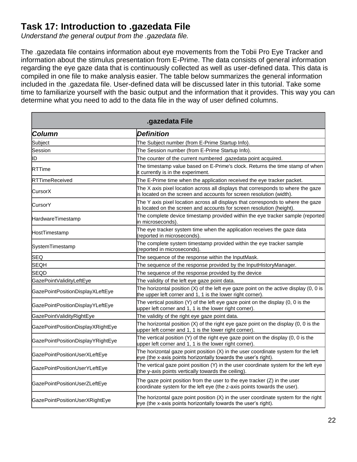# **Task 17: Introduction to .gazedata File**

*Understand the general output from the .gazedata file.*

The .gazedata file contains information about eye movements from the Tobii Pro Eye Tracker and information about the stimulus presentation from E-Prime. The data consists of general information regarding the eye gaze data that is continuously collected as well as user-defined data. This data is compiled in one file to make analysis easier. The table below summarizes the general information included in the .gazedata file. User-defined data will be discussed later in this tutorial. Take some time to familiarize yourself with the basic output and the information that it provides. This way you can determine what you need to add to the data file in the way of user defined columns.

|                                   | .gazedata File                                                                                                                                            |
|-----------------------------------|-----------------------------------------------------------------------------------------------------------------------------------------------------------|
| Column                            | <b>Definition</b>                                                                                                                                         |
| Subject                           | The Subject number (from E-Prime Startup Info).                                                                                                           |
| Session                           | The Session number (from E-Prime Startup Info).                                                                                                           |
| ID                                | The counter of the current numbered .gazedata point acquired.                                                                                             |
| <b>IRTTime</b>                    | The timestamp value based on E-Prime's clock. Returns the time stamp of when<br>it currently is in the experiment.                                        |
| <b>RTTimeReceived</b>             | The E-Prime time when the application received the eye tracker packet.                                                                                    |
| CursorX                           | The X axis pixel location across all displays that corresponds to where the gaze<br>is located on the screen and accounts for screen resolution (width).  |
| CursorY                           | The Y axis pixel location across all displays that corresponds to where the gaze<br>is located on the screen and accounts for screen resolution (height). |
| HardwareTimestamp                 | The complete device timestamp provided within the eye tracker sample (reported<br>in microseconds).                                                       |
| HostTimestamp                     | The eye tracker system time when the application receives the gaze data<br>(reported in microseconds).                                                    |
| SystemTimestamp                   | The complete system timestamp provided within the eye tracker sample<br>(reported in microseconds).                                                       |
| <b>SEQ</b>                        | The sequence of the response within the InputMask.                                                                                                        |
| <b>SEQH</b>                       | The sequence of the response provided by the InputHistoryManager.                                                                                         |
| <b>SEQD</b>                       | The sequence of the response provided by the device                                                                                                       |
| GazePointValidityLeftEye          | The validity of the left eye gaze point data.                                                                                                             |
| GazePointPositionDisplayXLeftEye  | The horizontal position $(X)$ of the left eye gaze point on the active display $(0, 0)$ is<br>the upper left corner and 1, 1 is the lower right corner).  |
| GazePointPositionDisplayYLeftEye  | The vertical position $(Y)$ of the left eye gaze point on the display $(0, 0)$ is the<br>upper left corner and 1, 1 is the lower right corner).           |
| GazePointValidityRightEye         | The validity of the right eye gaze point data.                                                                                                            |
| GazePointPositionDisplayXRightEye | The horizontal position $(X)$ of the right eye gaze point on the display $(0, 0)$ is the<br>upper left corner and 1, 1 is the lower right corner).        |
| GazePointPositionDisplayYRightEye | The vertical position (Y) of the right eye gaze point on the display (0, 0 is the<br>upper left corner and 1, 1 is the lower right corner).               |
| GazePointPositionUserXLeftEye     | The horizontal gaze point position $(X)$ in the user coordinate system for the left<br>eye (the x-axis points horizontally towards the user's right).     |
| GazePointPositionUserYLeftEye     | The vertical gaze point position (Y) in the user coordinate system for the left eye<br>(the y-axis points vertically towards the ceiling).                |
| GazePointPositionUserZLeftEye     | The gaze point position from the user to the eye tracker $(Z)$ in the user<br>coordinate system for the left eye (the z-axis points towards the user).    |
| GazePointPositionUserXRightEye    | The horizontal gaze point position (X) in the user coordinate system for the right<br>eye (the x-axis points horizontally towards the user's right).      |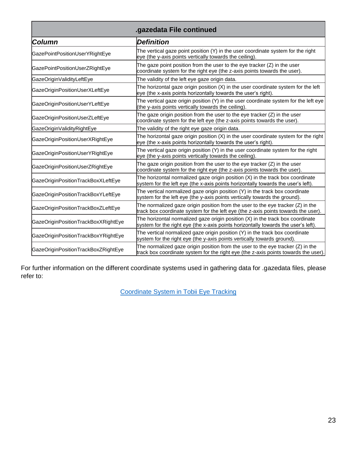| .gazedata File continued            |                                                                                                                                                                          |  |
|-------------------------------------|--------------------------------------------------------------------------------------------------------------------------------------------------------------------------|--|
| <b>Column</b>                       | <b>Definition</b>                                                                                                                                                        |  |
| GazePointPositionUserYRightEye      | The vertical gaze point position (Y) in the user coordinate system for the right<br>eye (the y-axis points vertically towards the ceiling).                              |  |
| GazePointPositionUserZRightEye      | The gaze point position from the user to the eye tracker $(Z)$ in the user<br>coordinate system for the right eye (the z-axis points towards the user).                  |  |
| GazeOriginValidityLeftEye           | The validity of the left eye gaze origin data.                                                                                                                           |  |
| GazeOriginPositionUserXLeftEye      | The horizontal gaze origin position (X) in the user coordinate system for the left<br>eye (the x-axis points horizontally towards the user's right).                     |  |
| GazeOriginPositionUserYLeftEye      | The vertical gaze origin position (Y) in the user coordinate system for the left eye<br>(the y-axis points vertically towards the ceiling).                              |  |
| GazeOriginPositionUserZLeftEye      | The gaze origin position from the user to the eye tracker (Z) in the user<br>coordinate system for the left eye (the z-axis points towards the user).                    |  |
| GazeOriginValidityRightEye          | The validity of the right eye gaze origin data.                                                                                                                          |  |
| GazeOriginPositionUserXRightEye     | The horizontal gaze origin position (X) in the user coordinate system for the right<br>eye (the x-axis points horizontally towards the user's right).                    |  |
| GazeOriginPositionUserYRightEye     | The vertical gaze origin position (Y) in the user coordinate system for the right<br>eye (the y-axis points vertically towards the ceiling).                             |  |
| GazeOriginPositionUserZRightEye     | The gaze origin position from the user to the eye tracker (Z) in the user<br>coordinate system for the right eye (the z-axis points towards the user).                   |  |
| GazeOriginPositionTrackBoxXLeftEye  | The horizontal normalized gaze origin position $(X)$ in the track box coordinate<br>system for the left eye (the x-axis points horizontally towards the user's left).    |  |
| GazeOriginPositionTrackBoxYLeftEye  | The vertical normalized gaze origin position (Y) in the track box coordinate<br>system for the left eye (the y-axis points vertically towards the ground).               |  |
| GazeOriginPositionTrackBoxZLeftEye  | The normalized gaze origin position from the user to the eye tracker (Z) in the<br>track box coordinate system for the left eye (the z-axis points towards the user).    |  |
| GazeOriginPositionTrackBoxXRightEye | The horizontal normalized gaze origin position $(X)$ in the track box coordinate<br>system for the right eye (the x-axis points horizontally towards the user's left).   |  |
| GazeOriginPositionTrackBoxYRightEye | The vertical normalized gaze origin position (Y) in the track box coordinate<br>system for the right eye (the y-axis points vertically towards ground).                  |  |
| GazeOriginPositionTrackBoxZRightEye | The normalized gaze origin position from the user to the eye tracker $(Z)$ in the<br>track box coordinate system for the right eye (the z-axis points towards the user). |  |

For further information on the different coordinate systems used in gathering data for .gazedata files, please refer to:

[Coordinate System in Tobii Eye Tracking](http://developer.tobiipro.com/commonconcepts/coordinatesystems.html)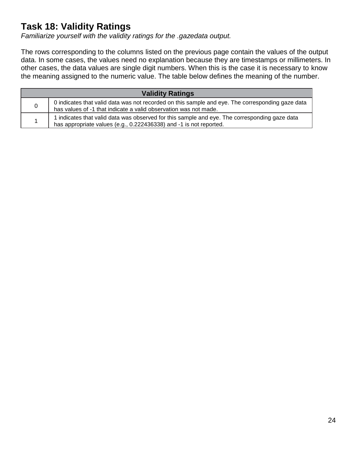# **Task 18: Validity Ratings**

*Familiarize yourself with the validity ratings for the .gazedata output.*

The rows corresponding to the columns listed on the previous page contain the values of the output data. In some cases, the values need no explanation because they are timestamps or millimeters. In other cases, the data values are single digit numbers. When this is the case it is necessary to know the meaning assigned to the numeric value. The table below defines the meaning of the number.

| <b>Validity Ratings</b> |                                                                                                                                                                      |
|-------------------------|----------------------------------------------------------------------------------------------------------------------------------------------------------------------|
| 0                       | 0 indicates that valid data was not recorded on this sample and eye. The corresponding gaze data<br>has values of -1 that indicate a valid observation was not made. |
|                         | 1 indicates that valid data was observed for this sample and eye. The corresponding gaze data<br>has appropriate values (e.g., 0.222436338) and -1 is not reported.  |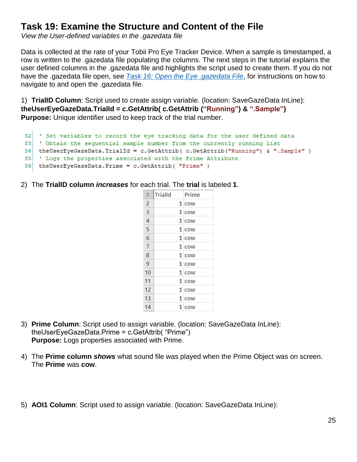#### **Task 19: Examine the Structure and Content of the File**

*View the User-defined variables in the .gazedata file*

Data is collected at the rate of your Tobii Pro Eye Tracker Device. When a sample is timestamped, a row is written to the .gazedata file populating the columns. The next steps in the tutorial explains the user defined columns in the .gazedata file and highlights the script used to create them. If you do not have the .gazedata file open, see *Task 16: [Open the Eye .gazedata File](#page-20-0)*, for instructions on how to navigate to and open the .gazedata file.

1) **TrialID Column**: Script used to create assign variable. (location: SaveGazeData InLine): **theUserEyeGazeData.TrialId = c.GetAttrib( c.GetAttrib ("Running") & ".Sample") Purpose:** Unique identifier used to keep track of the trial number.

```
' Set variables to record the eye tracking data for the user defined data
32<sup>1</sup>33.
    ' Obtain the sequential sample number from the currently running list
34 the User Eye Gaze Data. Trial Id = c. Get Attrib ( c. Get Attrib ("Running") & ". Sample" )
35 ' Logs the properties associated with the Prime Attribute
36 the User Eye Gaze Data. Prime = c. Get Attrib ( "Prime" )
```
2) The **TrialID column** *increases* for each trial. The **trial** is labeled **1**.

| 1              | <b>TrialId</b> | Prime   |
|----------------|----------------|---------|
| $\overline{2}$ |                | $1$ cow |
| $\overline{3}$ |                | $1$ cow |
| $\overline{4}$ |                | $1$ cow |
| 5              |                | $1$ cow |
| 6              |                | $1$ cow |
| 7              |                | $1$ cow |
| 8              |                | $1$ cow |
| 9              |                | $1$ cow |
| 10             |                | $1$ cow |
| 11             |                | $1$ cow |
| 12             |                | $1$ cow |
| 13             |                | $1$ cow |
| 14             |                | $1$ cow |
|                |                |         |

- 3) **Prime Column**: Script used to assign variable. (location: SaveGazeData InLine): theUserEyeGazeData.Prime = c.GetAttrib( "Prime") **Purpose:** Logs properties associated with Prime.
- 4) The **Prime column** *shows* what sound file was played when the Prime Object was on screen. The **Prime** was **cow**.
- 5) **AOI1 Column**: Script used to assign variable. (location: SaveGazeData InLine):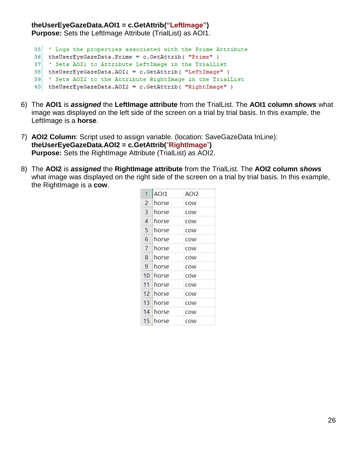#### **theUserEyeGazeData.AOI1 = c.GetAttrib("LeftImage")**

**Purpose:** Sets the LeftImage Attribute (TrialList) as AOI1.

```
35 ' Logs the properties associated with the Prime Attribute
```

```
36 the User Eye Gaze Data. Prime = c. Get Attrib ( "Prime" )
```

```
37 'Sets AOI1 to Attribute LeftImage in the TrialList
```

```
38 the User Eye Gaze Data. AOI1 = c. Get Attrib ( "Left Image" )
```

```
39 Sets AOI2 to the Attribute RightImage in the TrialList
```
40 the User Eye Gaze Data. AOI2 = c. Get Attrib ( "Right Image" )

- 6) The **AOI1** is *assigned* the **LeftImage attribute** from the TrialList. The **AOI1 column** *shows* what image was displayed on the left side of the screen on a trial by trial basis. In this example, the LeftImage is a **horse**.
- 7) **AOI2 Column**: Script used to assign variable. (location: SaveGazeData InLine): **theUserEyeGazeData.AOI2 = c.GetAttrib(**"**RightImage**"**) Purpose:** Sets the RightImage Attribute (TrialList) as AOI2.
- 8) The **AOI2** is *assigned* the **RightImage attribute** from the TrialList. The **AOI2 column** *shows* what image was displayed on the right side of the screen on a trial by trial basis. In this example, the RightImage is a **cow**.

| 1  | <b>AOI1</b> | AOI2       |
|----|-------------|------------|
| 2  | horse       | COW        |
| 3  | horse       | <b>COW</b> |
| 4  | horse       | cow        |
| 5  | horse       | <b>COW</b> |
| 6  | horse       | COW        |
| 7  | horse       | <b>COW</b> |
| 8  | horse       | COW        |
| 9  | horse       | <b>COW</b> |
| 10 | horse       | COW        |
| 11 | horse       | <b>COW</b> |
| 12 | horse       | COW        |
| 13 | horse       | cow        |
| 14 | horse       | COW        |
| 15 | horse       | cow        |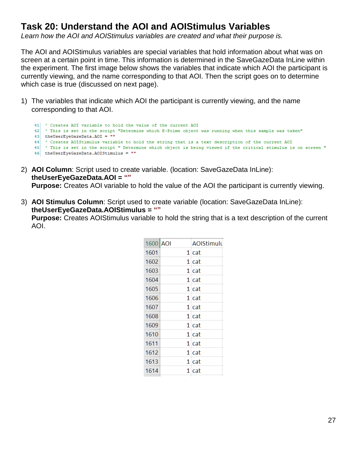## **Task 20: Understand the AOI and AOIStimulus Variables**

*Learn how the AOI and AOIStimulus variables are created and what their purpose is.*

The AOI and AOIStimulus variables are special variables that hold information about what was on screen at a certain point in time. This information is determined in the SaveGazeData InLine within the experiment. The first image below shows the variables that indicate which AOI the participant is currently viewing, and the name corresponding to that AOI. Then the script goes on to determine which case is true (discussed on next page).

1) The variables that indicate which AOI the participant is currently viewing, and the name corresponding to that AOI.

```
41 Creates AOI variable to hold the value of the current AOI
42 ' This is set in the script "Determine which E-Prime object was running when this sample was taken"
43 the User Eye Gaze Data. AOI = ""
    ' Creates AOIStimulus variable to hold the string that is a text description of the current AOI
4445 ' This is set in the script " Determine which object is being viewed if the critical stimulus is on screen "
46 the User Eye Gaze Data. AOIStimulus = ""
```
- 2) **AOI Column**: Script used to create variable. (location: SaveGazeData InLine): **theUserEyeGazeData.AOI = "" Purpose:** Creates AOI variable to hold the value of the AOI the participant is currently viewing.
- 3) **AOI Stimulus Column**: Script used to create variable (location: SaveGazeData InLine): **theUserEyeGazeData.AOIStimulus = ""**

**Purpose:** Creates AOIStimulus variable to hold the string that is a text description of the current AOI.

| 1600 AOI | AOIStimulu |
|----------|------------|
| 1601     | 1 cat      |
| 1602     | 1 cat      |
| 1603     | 1 cat      |
| 1604     | 1 cat      |
| 1605     | 1 cat      |
| 1606     | 1 cat      |
| 1607     | 1 cat      |
| 1608     | 1 cat      |
| 1609     | 1 cat      |
| 1610     | 1 cat      |
| 1611     | 1 cat      |
| 1612     | 1 cat      |
| 1613     | 1 cat      |
| 1614     | 1 cat      |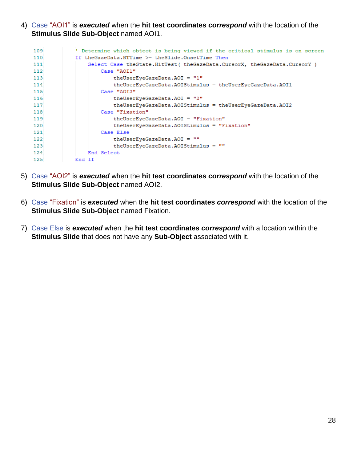4) Case "AOI1" is *executed* when the **hit test coordinates** *correspond* with the location of the **Stimulus Slide Sub-Object** named AOI1.

| 109              | ' Determine which object is being viewed if the critical stimulus is on screen |
|------------------|--------------------------------------------------------------------------------|
| $110^{1}$        | If the GazeData. RTTime >= the Slide. OnsetTime Then                           |
| 111              | Select Case theState.HitTest ( theGazeData.CursorX, theGazeData.CursorY )      |
| 112              | Case "AOI1"                                                                    |
| 113              | theUserEyeGazeData.AOI = "1"                                                   |
| 114              | theUserEyeGazeData.AOIStimulus = theUserEyeGazeData.AOI1                       |
| 115              | Case "AOI2"                                                                    |
| 116              | theUserEveGazeData.AOI = "2"                                                   |
| 117              | theUserEyeGazeData.AOIStimulus = theUserEyeGazeData.AOI2                       |
| 118              | Case "Fixation"                                                                |
| 119              | theUserEveGazeData.AOI = "Fixation"                                            |
| 120 <sup>1</sup> | theUserEveGazeData.AOIStimulus = "Fixation"                                    |
| 121              | Case Else                                                                      |
| 122              | the User Eye Gaze Data. AOI = $\blacksquare$                                   |
| 123              | theUserEyeGazeData.AOIStimulus = ""                                            |
| 124              | End Select                                                                     |
| 125              | End If                                                                         |

- 5) Case "AOI2" is *executed* when the **hit test coordinates** *correspond* with the location of the **Stimulus Slide Sub-Object** named AOI2.
- 6) Case "Fixation" is *executed* when the **hit test coordinates** *correspond* with the location of the **Stimulus Slide Sub-Object** named Fixation.
- 7) Case Else is *executed* when the **hit test coordinates** *correspond* with a location within the **Stimulus Slide** that does not have any **Sub-Object** associated with it.